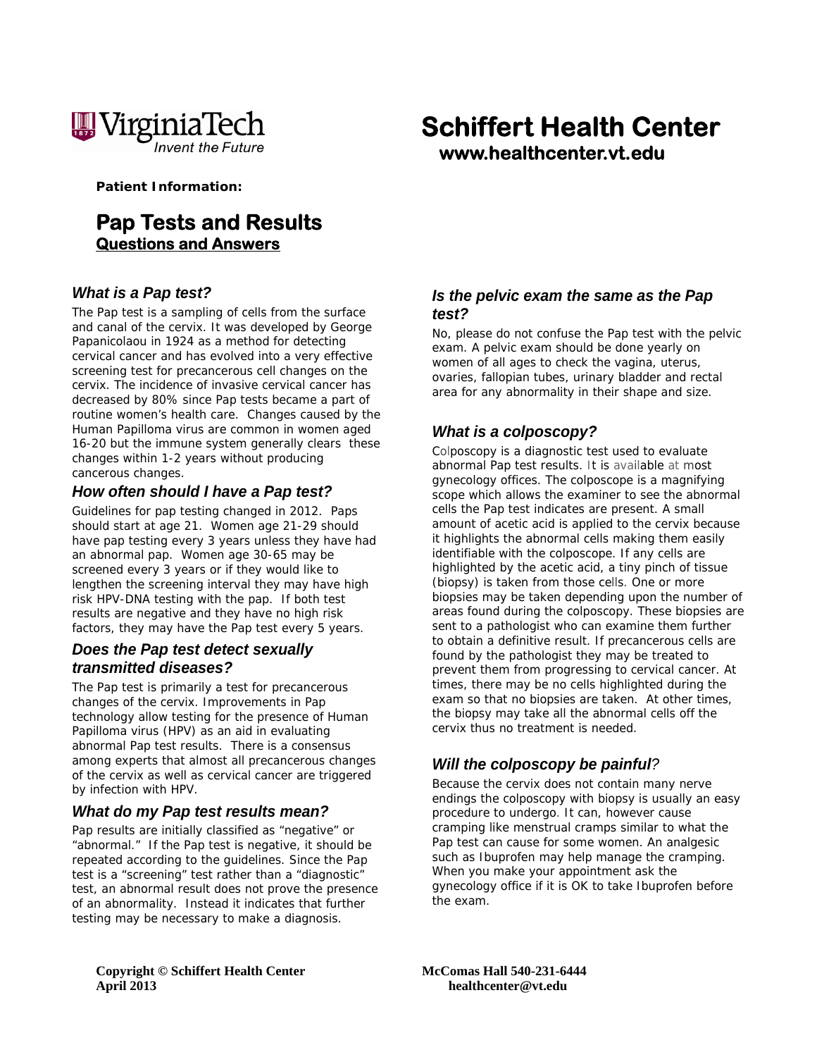

**Patient Information:** 

# **Pap Tests and Results Questions and Answers**

#### *What is a Pap test?*

The Pap test is a sampling of cells from the surface and canal of the cervix. It was developed by George Papanicolaou in 1924 as a method for detecting cervical cancer and has evolved into a very effective screening test for precancerous cell changes on the cervix. The incidence of invasive cervical cancer has decreased by 80% since Pap tests became a part of routine women's health care. Changes caused by the Human Papilloma virus are common in women aged 16-20 but the immune system generally clears these changes within 1-2 years without producing cancerous changes.

#### *How often should I have a Pap test?*

Guidelines for pap testing changed in 2012. Paps should start at age 21. Women age 21-29 should have pap testing every 3 years unless they have had an abnormal pap. Women age 30-65 may be screened every 3 years or if they would like to lengthen the screening interval they may have high risk HPV-DNA testing with the pap. If both test results are negative and they have no high risk factors, they may have the Pap test every 5 years.

#### *Does the Pap test detect sexually transmitted diseases?*

The Pap test is primarily a test for precancerous changes of the cervix. Improvements in Pap technology allow testing for the presence of Human Papilloma virus (HPV) as an aid in evaluating abnormal Pap test results. There is a consensus among experts that almost all precancerous changes of the cervix as well as cervical cancer are triggered by infection with HPV.

#### *What do my Pap test results mean?*

Pap results are initially classified as "negative" or "abnormal." If the Pap test is negative, it should be repeated according to the guidelines. Since the Pap test is a "screening" test rather than a "diagnostic" test, an abnormal result does not prove the presence of an abnormality. Instead it indicates that further testing may be necessary to make a diagnosis.

# **Schiffert Health Center www.healthcenter.vt.edu**

### *Is the pelvic exam the same as the Pap test?*

No, please do not confuse the Pap test with the pelvic exam. A pelvic exam should be done yearly on women of all ages to check the vagina, uterus, ovaries, fallopian tubes, urinary bladder and rectal area for any abnormality in their shape and size.

### *What is a colposcopy?*

Colposcopy is a diagnostic test used to evaluate abnormal Pap test results. It is available at most gynecology offices. The colposcope is a magnifying scope which allows the examiner to see the abnormal cells the Pap test indicates are present. A small amount of acetic acid is applied to the cervix because it highlights the abnormal cells making them easily identifiable with the colposcope. If any cells are highlighted by the acetic acid, a tiny pinch of tissue (biopsy) is taken from those cells. One or more biopsies may be taken depending upon the number of areas found during the colposcopy. These biopsies are sent to a pathologist who can examine them further to obtain a definitive result. If precancerous cells are found by the pathologist they may be treated to prevent them from progressing to cervical cancer. At times, there may be no cells highlighted during the exam so that no biopsies are taken. At other times, the biopsy may take all the abnormal cells off the cervix thus no treatment is needed.

# *Will the colposcopy be painful?*

Because the cervix does not contain many nerve endings the colposcopy with biopsy is usually an easy procedure to undergo. It can, however cause cramping like menstrual cramps similar to what the Pap test can cause for some women. An analgesic such as Ibuprofen may help manage the cramping. When you make your appointment ask the gynecology office if it is OK to take Ibuprofen before the exam.

**Copyright © Schiffert Health Center McComas Hall 540-231-6444 April 2013 healthcenter@vt.edu**